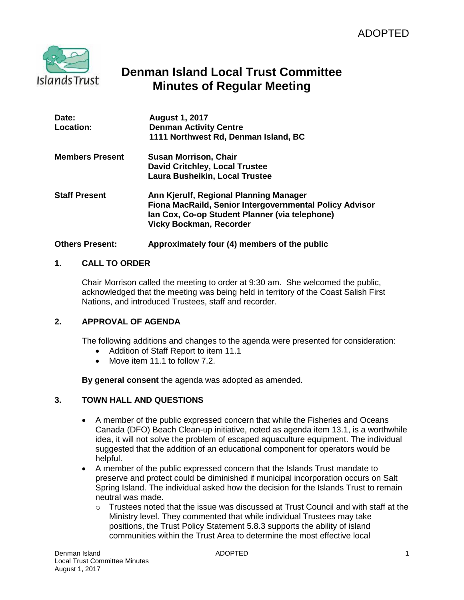

# **Denman Island Local Trust Committee Minutes of Regular Meeting**

| Date:                  | <b>August 1, 2017</b>                                   |
|------------------------|---------------------------------------------------------|
| Location:              | <b>Denman Activity Centre</b>                           |
|                        | 1111 Northwest Rd, Denman Island, BC                    |
| <b>Members Present</b> | <b>Susan Morrison, Chair</b>                            |
|                        | <b>David Critchley, Local Trustee</b>                   |
|                        | <b>Laura Busheikin, Local Trustee</b>                   |
| <b>Staff Present</b>   | Ann Kjerulf, Regional Planning Manager                  |
|                        | Fiona MacRaild, Senior Intergovernmental Policy Advisor |
|                        | Ian Cox, Co-op Student Planner (via telephone)          |
|                        | <b>Vicky Bockman, Recorder</b>                          |
|                        |                                                         |

# **Others Present: Approximately four (4) members of the public**

# **1. CALL TO ORDER**

Chair Morrison called the meeting to order at 9:30 am. She welcomed the public, acknowledged that the meeting was being held in territory of the Coast Salish First Nations, and introduced Trustees, staff and recorder.

# **2. APPROVAL OF AGENDA**

The following additions and changes to the agenda were presented for consideration:

- Addition of Staff Report to item 11.1
- Move item 11.1 to follow 7.2.

**By general consent** the agenda was adopted as amended.

# **3. TOWN HALL AND QUESTIONS**

- A member of the public expressed concern that while the Fisheries and Oceans Canada (DFO) Beach Clean-up initiative, noted as agenda item 13.1, is a worthwhile idea, it will not solve the problem of escaped aquaculture equipment. The individual suggested that the addition of an educational component for operators would be helpful.
- A member of the public expressed concern that the Islands Trust mandate to preserve and protect could be diminished if municipal incorporation occurs on Salt Spring Island. The individual asked how the decision for the Islands Trust to remain neutral was made.
	- $\circ$  Trustees noted that the issue was discussed at Trust Council and with staff at the Ministry level. They commented that while individual Trustees may take positions, the Trust Policy Statement 5.8.3 supports the ability of island communities within the Trust Area to determine the most effective local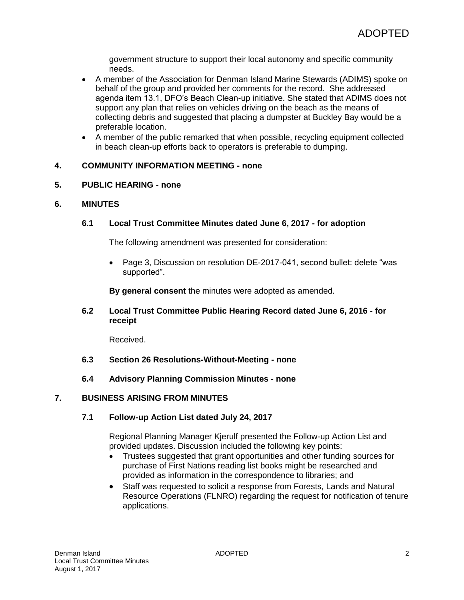government structure to support their local autonomy and specific community needs.

- A member of the Association for Denman Island Marine Stewards (ADIMS) spoke on behalf of the group and provided her comments for the record. She addressed agenda item 13.1, DFO's Beach Clean-up initiative. She stated that ADIMS does not support any plan that relies on vehicles driving on the beach as the means of collecting debris and suggested that placing a dumpster at Buckley Bay would be a preferable location.
- A member of the public remarked that when possible, recycling equipment collected in beach clean-up efforts back to operators is preferable to dumping.

# **4. COMMUNITY INFORMATION MEETING - none**

# **5. PUBLIC HEARING - none**

# **6. MINUTES**

# **6.1 Local Trust Committee Minutes dated June 6, 2017 - for adoption**

The following amendment was presented for consideration:

• Page 3, Discussion on resolution DE-2017-041, second bullet: delete "was supported".

**By general consent** the minutes were adopted as amended.

# **6.2 Local Trust Committee Public Hearing Record dated June 6, 2016 - for receipt**

Received.

- **6.3 Section 26 Resolutions-Without-Meeting - none**
- **6.4 Advisory Planning Commission Minutes - none**

# **7. BUSINESS ARISING FROM MINUTES**

# **7.1 Follow-up Action List dated July 24, 2017**

Regional Planning Manager Kjerulf presented the Follow-up Action List and provided updates. Discussion included the following key points:

- Trustees suggested that grant opportunities and other funding sources for purchase of First Nations reading list books might be researched and provided as information in the correspondence to libraries; and
- Staff was requested to solicit a response from Forests, Lands and Natural Resource Operations (FLNRO) regarding the request for notification of tenure applications.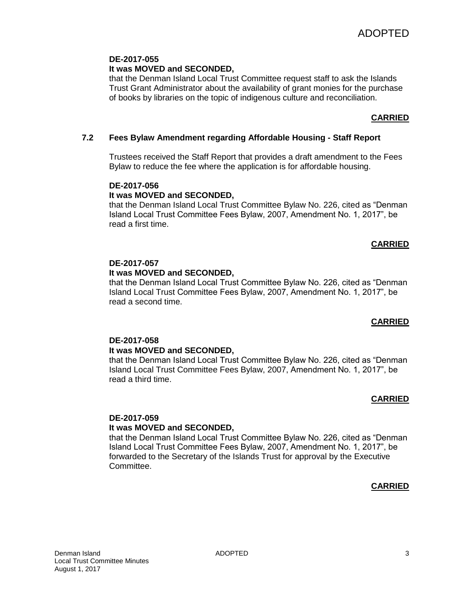# **It was MOVED and SECONDED,**

that the Denman Island Local Trust Committee request staff to ask the Islands Trust Grant Administrator about the availability of grant monies for the purchase of books by libraries on the topic of indigenous culture and reconciliation.

# **CARRIED**

# **7.2 Fees Bylaw Amendment regarding Affordable Housing - Staff Report**

Trustees received the Staff Report that provides a draft amendment to the Fees Bylaw to reduce the fee where the application is for affordable housing.

# **DE-2017-056**

# **It was MOVED and SECONDED,**

that the Denman Island Local Trust Committee Bylaw No. 226, cited as "Denman Island Local Trust Committee Fees Bylaw, 2007, Amendment No. 1, 2017", be read a first time.

# **CARRIED**

# **DE-2017-057**

# **It was MOVED and SECONDED,**

that the Denman Island Local Trust Committee Bylaw No. 226, cited as "Denman Island Local Trust Committee Fees Bylaw, 2007, Amendment No. 1, 2017", be read a second time.

# **CARRIED**

# **DE-2017-058**

# **It was MOVED and SECONDED,**

that the Denman Island Local Trust Committee Bylaw No. 226, cited as "Denman Island Local Trust Committee Fees Bylaw, 2007, Amendment No. 1, 2017", be read a third time.

# **CARRIED**

# **DE-2017-059 It was MOVED and SECONDED,**

that the Denman Island Local Trust Committee Bylaw No. 226, cited as "Denman Island Local Trust Committee Fees Bylaw, 2007, Amendment No. 1, 2017", be forwarded to the Secretary of the Islands Trust for approval by the Executive Committee.

# **CARRIED**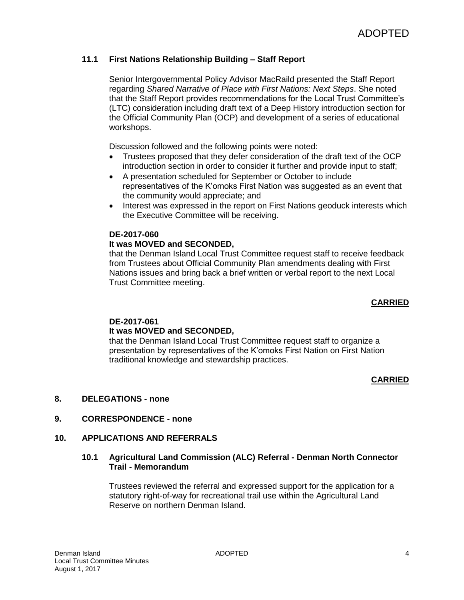# **11.1 First Nations Relationship Building – Staff Report**

Senior Intergovernmental Policy Advisor MacRaild presented the Staff Report regarding *Shared Narrative of Place with First Nations: Next Steps*. She noted that the Staff Report provides recommendations for the Local Trust Committee's (LTC) consideration including draft text of a Deep History introduction section for the Official Community Plan (OCP) and development of a series of educational workshops.

Discussion followed and the following points were noted:

- Trustees proposed that they defer consideration of the draft text of the OCP introduction section in order to consider it further and provide input to staff;
- A presentation scheduled for September or October to include representatives of the K'omoks First Nation was suggested as an event that the community would appreciate; and
- Interest was expressed in the report on First Nations geoduck interests which the Executive Committee will be receiving.

#### **DE-2017-060**

# **It was MOVED and SECONDED,**

that the Denman Island Local Trust Committee request staff to receive feedback from Trustees about Official Community Plan amendments dealing with First Nations issues and bring back a brief written or verbal report to the next Local Trust Committee meeting.

# **CARRIED**

# **DE-2017-061**

# **It was MOVED and SECONDED,**

that the Denman Island Local Trust Committee request staff to organize a presentation by representatives of the K'omoks First Nation on First Nation traditional knowledge and stewardship practices.

# **CARRIED**

#### **8. DELEGATIONS - none**

# **9. CORRESPONDENCE - none**

#### **10. APPLICATIONS AND REFERRALS**

#### **10.1 Agricultural Land Commission (ALC) Referral - Denman North Connector Trail - Memorandum**

Trustees reviewed the referral and expressed support for the application for a statutory right-of-way for recreational trail use within the Agricultural Land Reserve on northern Denman Island.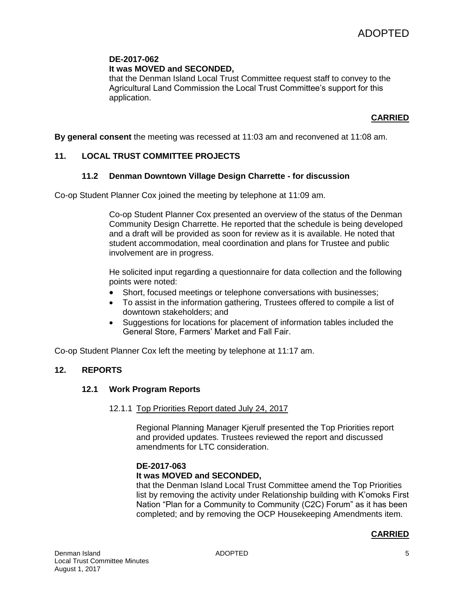# **It was MOVED and SECONDED,**

that the Denman Island Local Trust Committee request staff to convey to the Agricultural Land Commission the Local Trust Committee's support for this application.

# **CARRIED**

**By general consent** the meeting was recessed at 11:03 am and reconvened at 11:08 am.

# **11. LOCAL TRUST COMMITTEE PROJECTS**

# **11.2 Denman Downtown Village Design Charrette - for discussion**

Co-op Student Planner Cox joined the meeting by telephone at 11:09 am.

Co-op Student Planner Cox presented an overview of the status of the Denman Community Design Charrette. He reported that the schedule is being developed and a draft will be provided as soon for review as it is available. He noted that student accommodation, meal coordination and plans for Trustee and public involvement are in progress.

He solicited input regarding a questionnaire for data collection and the following points were noted:

- Short, focused meetings or telephone conversations with businesses;
- To assist in the information gathering, Trustees offered to compile a list of downtown stakeholders; and
- Suggestions for locations for placement of information tables included the General Store, Farmers' Market and Fall Fair.

Co-op Student Planner Cox left the meeting by telephone at 11:17 am.

# **12. REPORTS**

# **12.1 Work Program Reports**

#### 12.1.1 Top Priorities Report dated July 24, 2017

Regional Planning Manager Kjerulf presented the Top Priorities report and provided updates. Trustees reviewed the report and discussed amendments for LTC consideration.

# **DE-2017-063**

# **It was MOVED and SECONDED,**

that the Denman Island Local Trust Committee amend the Top Priorities list by removing the activity under Relationship building with K'omoks First Nation "Plan for a Community to Community (C2C) Forum" as it has been completed; and by removing the OCP Housekeeping Amendments item.

# **CARRIED**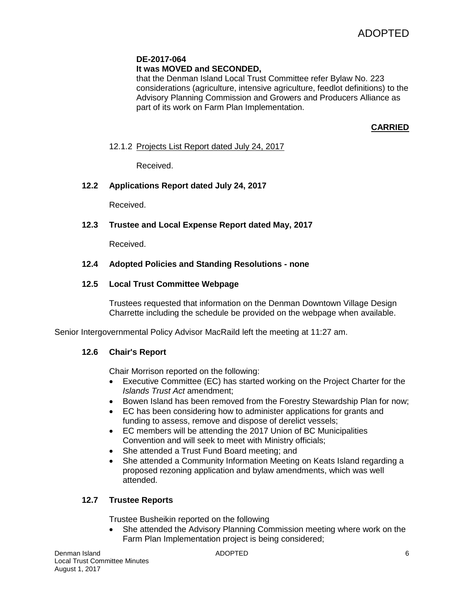# **It was MOVED and SECONDED,**

that the Denman Island Local Trust Committee refer Bylaw No. 223 considerations (agriculture, intensive agriculture, feedlot definitions) to the Advisory Planning Commission and Growers and Producers Alliance as part of its work on Farm Plan Implementation.

# **CARRIED**

# 12.1.2 Projects List Report dated July 24, 2017

Received.

# **12.2 Applications Report dated July 24, 2017**

Received.

# **12.3 Trustee and Local Expense Report dated May, 2017**

Received.

# **12.4 Adopted Policies and Standing Resolutions - none**

# **12.5 Local Trust Committee Webpage**

Trustees requested that information on the Denman Downtown Village Design Charrette including the schedule be provided on the webpage when available.

Senior Intergovernmental Policy Advisor MacRaild left the meeting at 11:27 am.

# **12.6 Chair's Report**

Chair Morrison reported on the following:

- Executive Committee (EC) has started working on the Project Charter for the *Islands Trust Act* amendment;
- Bowen Island has been removed from the Forestry Stewardship Plan for now;
- EC has been considering how to administer applications for grants and funding to assess, remove and dispose of derelict vessels;
- EC members will be attending the 2017 Union of BC Municipalities Convention and will seek to meet with Ministry officials;
- She attended a Trust Fund Board meeting; and
- She attended a Community Information Meeting on Keats Island regarding a proposed rezoning application and bylaw amendments, which was well attended.

# **12.7 Trustee Reports**

Trustee Busheikin reported on the following

• She attended the Advisory Planning Commission meeting where work on the Farm Plan Implementation project is being considered;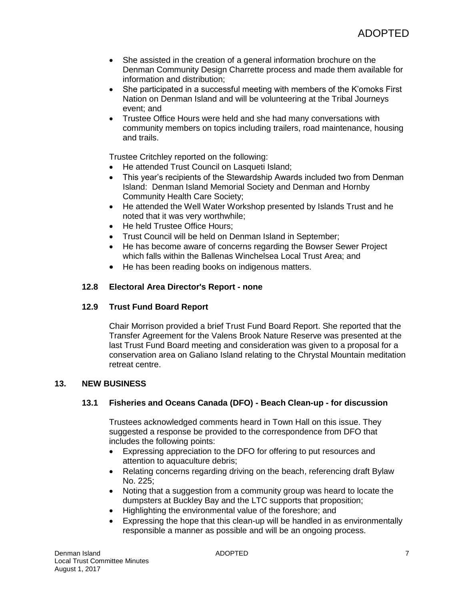- She assisted in the creation of a general information brochure on the Denman Community Design Charrette process and made them available for information and distribution;
- She participated in a successful meeting with members of the K'omoks First Nation on Denman Island and will be volunteering at the Tribal Journeys event; and
- Trustee Office Hours were held and she had many conversations with community members on topics including trailers, road maintenance, housing and trails.

Trustee Critchley reported on the following:

- He attended Trust Council on Lasqueti Island;
- This year's recipients of the Stewardship Awards included two from Denman Island: Denman Island Memorial Society and Denman and Hornby Community Health Care Society;
- He attended the Well Water Workshop presented by Islands Trust and he noted that it was very worthwhile;
- He held Trustee Office Hours:
- Trust Council will be held on Denman Island in September;
- He has become aware of concerns regarding the Bowser Sewer Project which falls within the Ballenas Winchelsea Local Trust Area; and
- He has been reading books on indigenous matters.

# **12.8 Electoral Area Director's Report - none**

# **12.9 Trust Fund Board Report**

Chair Morrison provided a brief Trust Fund Board Report. She reported that the Transfer Agreement for the Valens Brook Nature Reserve was presented at the last Trust Fund Board meeting and consideration was given to a proposal for a conservation area on Galiano Island relating to the Chrystal Mountain meditation retreat centre.

# **13. NEW BUSINESS**

# **13.1 Fisheries and Oceans Canada (DFO) - Beach Clean-up - for discussion**

Trustees acknowledged comments heard in Town Hall on this issue. They suggested a response be provided to the correspondence from DFO that includes the following points:

- Expressing appreciation to the DFO for offering to put resources and attention to aquaculture debris;
- Relating concerns regarding driving on the beach, referencing draft Bylaw No. 225;
- Noting that a suggestion from a community group was heard to locate the dumpsters at Buckley Bay and the LTC supports that proposition;
- Highlighting the environmental value of the foreshore; and
- Expressing the hope that this clean-up will be handled in as environmentally responsible a manner as possible and will be an ongoing process.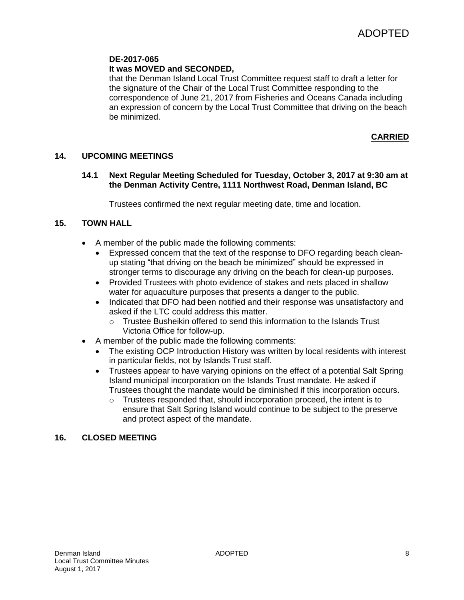# **It was MOVED and SECONDED,**

that the Denman Island Local Trust Committee request staff to draft a letter for the signature of the Chair of the Local Trust Committee responding to the correspondence of June 21, 2017 from Fisheries and Oceans Canada including an expression of concern by the Local Trust Committee that driving on the beach be minimized.

# **CARRIED**

# **14. UPCOMING MEETINGS**

#### **14.1 Next Regular Meeting Scheduled for Tuesday, October 3, 2017 at 9:30 am at the Denman Activity Centre, 1111 Northwest Road, Denman Island, BC**

Trustees confirmed the next regular meeting date, time and location.

# **15. TOWN HALL**

- A member of the public made the following comments:
	- Expressed concern that the text of the response to DFO regarding beach cleanup stating "that driving on the beach be minimized" should be expressed in stronger terms to discourage any driving on the beach for clean-up purposes.
	- Provided Trustees with photo evidence of stakes and nets placed in shallow water for aquaculture purposes that presents a danger to the public.
	- Indicated that DFO had been notified and their response was unsatisfactory and asked if the LTC could address this matter.
		- o Trustee Busheikin offered to send this information to the Islands Trust Victoria Office for follow-up.
- A member of the public made the following comments:
	- The existing OCP Introduction History was written by local residents with interest in particular fields, not by Islands Trust staff.
	- Trustees appear to have varying opinions on the effect of a potential Salt Spring Island municipal incorporation on the Islands Trust mandate. He asked if Trustees thought the mandate would be diminished if this incorporation occurs.
		- o Trustees responded that, should incorporation proceed, the intent is to ensure that Salt Spring Island would continue to be subject to the preserve and protect aspect of the mandate.

# **16. CLOSED MEETING**